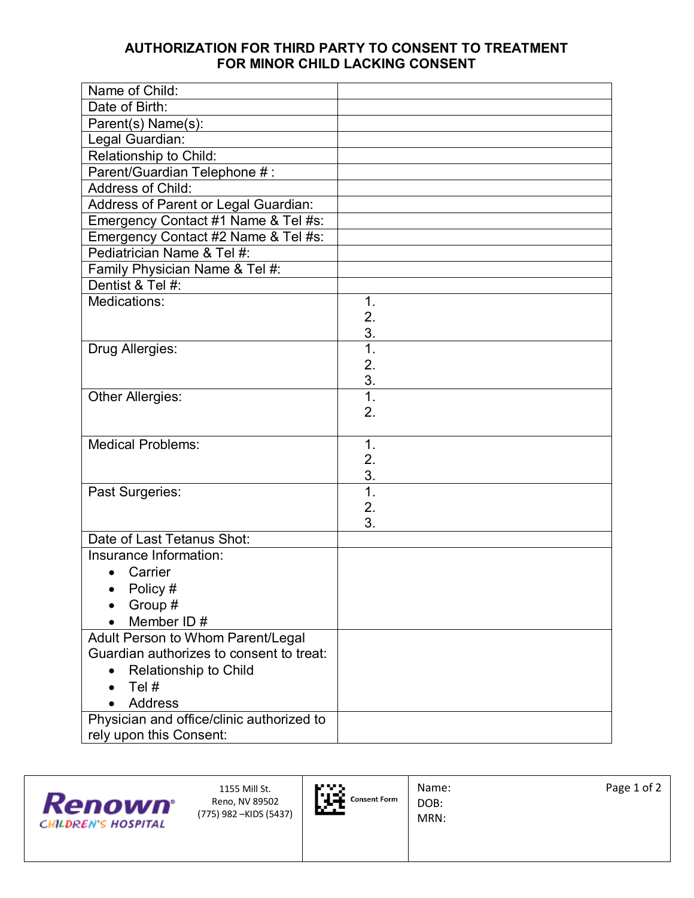## **AUTHORIZATION FOR THIRD PARTY TO CONSENT TO TREATMENT FOR MINOR CHILD LACKING CONSENT**

| Name of Child:                            |                  |
|-------------------------------------------|------------------|
| Date of Birth:                            |                  |
| Parent(s) Name(s):                        |                  |
| Legal Guardian:                           |                  |
| Relationship to Child:                    |                  |
| Parent/Guardian Telephone #:              |                  |
| Address of Child:                         |                  |
| Address of Parent or Legal Guardian:      |                  |
| Emergency Contact #1 Name & Tel #s:       |                  |
| Emergency Contact #2 Name & Tel #s:       |                  |
| Pediatrician Name & Tel #:                |                  |
| Family Physician Name & Tel #:            |                  |
| Dentist & Tel #:                          |                  |
| Medications:                              | 1.               |
|                                           | 2.               |
|                                           | 3.               |
| Drug Allergies:                           | $\overline{1}$ . |
|                                           | 2.               |
|                                           | 3.               |
| Other Allergies:                          | $\overline{1}$ . |
|                                           | 2.               |
| <b>Medical Problems:</b>                  | $\mathbf 1$ .    |
|                                           | 2.               |
|                                           | 3.               |
| Past Surgeries:                           | $\overline{1}$ . |
|                                           | 2.               |
|                                           | 3.               |
| Date of Last Tetanus Shot:                |                  |
| Insurance Information:                    |                  |
| Carrier                                   |                  |
| • Policy $#$                              |                  |
| Group #                                   |                  |
| Member ID#                                |                  |
| Adult Person to Whom Parent/Legal         |                  |
| Guardian authorizes to consent to treat:  |                  |
| <b>Relationship to Child</b>              |                  |
| Tel #                                     |                  |
| <b>Address</b>                            |                  |
| Physician and office/clinic authorized to |                  |
| rely upon this Consent:                   |                  |